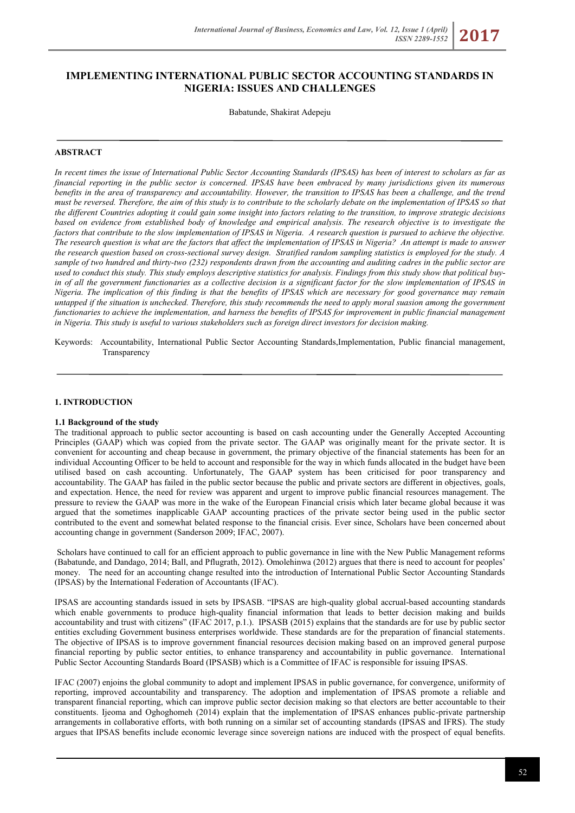# **IMPLEMENTING INTERNATIONAL PUBLIC SECTOR ACCOUNTING STANDARDS IN NIGERIA: ISSUES AND CHALLENGES**

Babatunde, Shakirat Adepeju

## **ABSTRACT**

*In recent times the issue of International Public Sector Accounting Standards (IPSAS) has been of interest to scholars as far as financial reporting in the public sector is concerned. IPSAS have been embraced by many jurisdictions given its numerous benefits in the area of transparency and accountability. However, the transition to IPSAS has been a challenge, and the trend must be reversed. Therefore, the aim of this study is to contribute to the scholarly debate on the implementation of IPSAS so that the different Countries adopting it could gain some insight into factors relating to the transition, to improve strategic decisions based on evidence from established body of knowledge and empirical analysis. The research objective is to investigate the factors that contribute to the slow implementation of IPSAS in Nigeria. A research question is pursued to achieve the objective. The research question is what are the factors that affect the implementation of IPSAS in Nigeria? An attempt is made to answer the research question based on cross-sectional survey design. Stratified random sampling statistics is employed for the study. A sample of two hundred and thirty-two (232) respondents drawn from the accounting and auditing cadres in the public sector are used to conduct this study. This study employs descriptive statistics for analysis. Findings from this study show that political buyin of all the government functionaries as a collective decision is a significant factor for the slow implementation of IPSAS in Nigeria. The implication of this finding is that the benefits of IPSAS which are necessary for good governance may remain untapped if the situation is unchecked. Therefore, this study recommends the need to apply moral suasion among the government functionaries to achieve the implementation, and harness the benefits of IPSAS for improvement in public financial management in Nigeria. This study is useful to various stakeholders such as foreign direct investors for decision making.* 

#### **1. INTRODUCTION**

#### **1.1 Background of the study**

The traditional approach to public sector accounting is based on cash accounting under the Generally Accepted Accounting Principles (GAAP) which was copied from the private sector. The GAAP was originally meant for the private sector. It is convenient for accounting and cheap because in government, the primary objective of the financial statements has been for an individual Accounting Officer to be held to account and responsible for the way in which funds allocated in the budget have been utilised based on cash accounting. Unfortunately, The GAAP system has been criticised for poor transparency and accountability. The GAAP has failed in the public sector because the public and private sectors are different in objectives, goals, and expectation. Hence, the need for review was apparent and urgent to improve public financial resources management. The pressure to review the GAAP was more in the wake of the European Financial crisis which later became global because it was argued that the sometimes inapplicable GAAP accounting practices of the private sector being used in the public sector contributed to the event and somewhat belated response to the financial crisis. Ever since, Scholars have been concerned about accounting change in government (Sanderson 2009; IFAC, 2007).

Scholars have continued to call for an efficient approach to public governance in line with the New Public Management reforms (Babatunde, and Dandago, 2014; Ball, and Pflugrath, 2012). Omolehinwa (2012) argues that there is need to account for peoples' money. The need for an accounting change resulted into the introduction of International Public Sector Accounting Standards (IPSAS) by the International Federation of Accountants (IFAC).

IPSAS are accounting standards issued in sets by IPSASB. "IPSAS are high-quality global accrual-based accounting standards which enable governments to produce high-quality financial information that leads to better decision making and builds accountability and trust with citizens" (IFAC 2017, p.1.). IPSASB (2015) explains that the standards are for use by public sector entities excluding Government business enterprises worldwide. These standards are for the preparation of financial statements. The objective of IPSAS is to improve government financial resources decision making based on an improved general purpose financial reporting by public sector entities, to enhance transparency and accountability in public governance. International Public Sector Accounting Standards Board (IPSASB) which is a Committee of IFAC is responsible for issuing IPSAS.

IFAC (2007) enjoins the global community to adopt and implement IPSAS in public governance, for convergence, uniformity of reporting, improved accountability and transparency. The adoption and implementation of IPSAS promote a reliable and transparent financial reporting, which can improve public sector decision making so that electors are better accountable to their constituents. Ijeoma and Oghoghomeh (2014) explain that the implementation of IPSAS enhances public-private partnership arrangements in collaborative efforts, with both running on a similar set of accounting standards (IPSAS and IFRS). The study argues that IPSAS benefits include economic leverage since sovereign nations are induced with the prospect of equal benefits.

Keywords: Accountability, International Public Sector Accounting Standards,Implementation, Public financial management, **Transparency**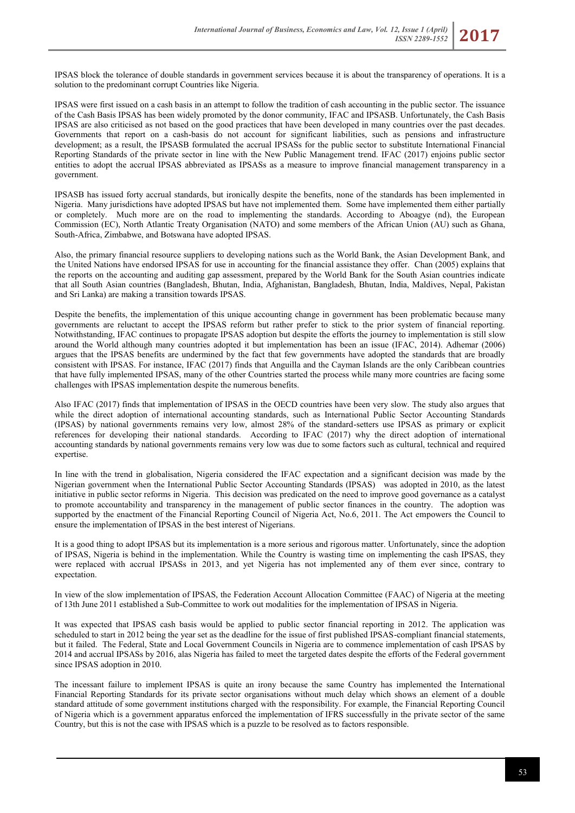IPSAS block the tolerance of double standards in government services because it is about the transparency of operations. It is a solution to the predominant corrupt Countries like Nigeria.

IPSAS were first issued on a cash basis in an attempt to follow the tradition of cash accounting in the public sector. The issuance of the Cash Basis IPSAS has been widely promoted by the donor community, IFAC and IPSASB. Unfortunately, the Cash Basis IPSAS are also criticised as not based on the good practices that have been developed in many countries over the past decades. Governments that report on a cash-basis do not account for significant liabilities, such as pensions and infrastructure development; as a result, the IPSASB formulated the accrual IPSASs for the public sector to substitute International Financial Reporting Standards of the private sector in line with the New Public Management trend. IFAC (2017) enjoins public sector entities to adopt the accrual IPSAS abbreviated as IPSASs as a measure to improve financial management transparency in a government.

IPSASB has issued forty accrual standards, but ironically despite the benefits, none of the standards has been implemented in Nigeria. Many jurisdictions have adopted IPSAS but have not implemented them. Some have implemented them either partially or completely. Much more are on the road to implementing the standards. According to Aboagye (nd), the European Commission (EC), North Atlantic Treaty Organisation (NATO) and some members of the African Union (AU) such as Ghana, South-Africa, Zimbabwe, and Botswana have adopted IPSAS.

Also, the primary financial resource suppliers to developing nations such as the World Bank, the Asian Development Bank, and the United Nations have endorsed IPSAS for use in accounting for the financial assistance they offer. Chan (2005) explains that the reports on the accounting and auditing gap assessment, prepared by the World Bank for the South Asian countries indicate that all South Asian countries (Bangladesh, Bhutan, India, Afghanistan, Bangladesh, Bhutan, India, Maldives, Nepal, Pakistan and Sri Lanka) are making a transition towards IPSAS.

Despite the benefits, the implementation of this unique accounting change in government has been problematic because many governments are reluctant to accept the IPSAS reform but rather prefer to stick to the prior system of financial reporting. Notwithstanding, IFAC continues to propagate IPSAS adoption but despite the efforts the journey to implementation is still slow around the World although many countries adopted it but implementation has been an issue (IFAC, 2014). Adhemar (2006) argues that the IPSAS benefits are undermined by the fact that few governments have adopted the standards that are broadly consistent with IPSAS. For instance, IFAC (2017) finds that Anguilla and the Cayman Islands are the only Caribbean countries that have fully implemented IPSAS, many of the other Countries started the process while many more countries are facing some challenges with IPSAS implementation despite the numerous benefits.

Also IFAC (2017) finds that implementation of IPSAS in the OECD countries have been very slow. The study also argues that while the direct adoption of international accounting standards, such as International Public Sector Accounting Standards (IPSAS) by national governments remains very low, almost 28% of the standard-setters use IPSAS as primary or explicit references for developing their national standards. According to IFAC (2017) why the direct adoption of international accounting standards by national governments remains very low was due to some factors such as cultural, technical and required expertise.

In line with the trend in globalisation, Nigeria considered the IFAC expectation and a significant decision was made by the Nigerian government when the International Public Sector Accounting Standards (IPSAS) was adopted in 2010, as the latest initiative in public sector reforms in Nigeria. This decision was predicated on the need to improve good governance as a catalyst to promote accountability and transparency in the management of public sector finances in the country. The adoption was supported by the enactment of the Financial Reporting Council of Nigeria Act, No.6, 2011. The Act empowers the Council to ensure the implementation of IPSAS in the best interest of Nigerians.

It is a good thing to adopt IPSAS but its implementation is a more serious and rigorous matter. Unfortunately, since the adoption of IPSAS, Nigeria is behind in the implementation. While the Country is wasting time on implementing the cash IPSAS, they were replaced with accrual IPSASs in 2013, and yet Nigeria has not implemented any of them ever since, contrary to expectation.

In view of the slow implementation of IPSAS, the Federation Account Allocation Committee (FAAC) of Nigeria at the meeting of 13th June 2011 established a Sub-Committee to work out modalities for the implementation of IPSAS in Nigeria.

It was expected that IPSAS cash basis would be applied to public sector financial reporting in 2012. The application was scheduled to start in 2012 being the year set as the deadline for the issue of first published IPSAS-compliant financial statements, but it failed. The Federal, State and Local Government Councils in Nigeria are to commence implementation of cash IPSAS by 2014 and accrual IPSASs by 2016, alas Nigeria has failed to meet the targeted dates despite the efforts of the Federal government since IPSAS adoption in 2010.

The incessant failure to implement IPSAS is quite an irony because the same Country has implemented the International Financial Reporting Standards for its private sector organisations without much delay which shows an element of a double standard attitude of some government institutions charged with the responsibility. For example, the Financial Reporting Council of Nigeria which is a government apparatus enforced the implementation of IFRS successfully in the private sector of the same Country, but this is not the case with IPSAS which is a puzzle to be resolved as to factors responsible.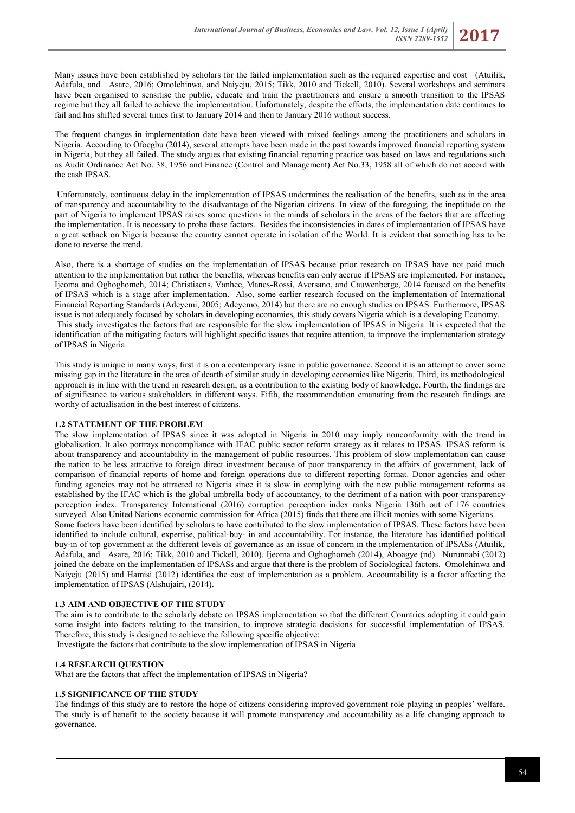Many issues have been established by scholars for the failed implementation such as the required expertise and cost (Atuilik, Adafula, and Asare, 2016; Omolehinwa, and Naiyeju, 2015; Tikk, 2010 and Tickell, 2010). Several workshops and seminars have been organised to sensitise the public, educate and train the practitioners and ensure a smooth transition to the IPSAS regime but they all failed to achieve the implementation. Unfortunately, despite the efforts, the implementation date continues to fail and has shifted several times first to January 2014 and then to January 2016 without success.

The frequent changes in implementation date have been viewed with mixed feelings among the practitioners and scholars in Nigeria. According to Ofoegbu (2014), several attempts have been made in the past towards improved financial reporting system in Nigeria, but they all failed. The study argues that existing financial reporting practice was based on laws and regulations such as Audit Ordinance Act No. 38, 1956 and Finance (Control and Management) Act No.33, 1958 all of which do not accord with the cash IPSAS.

Unfortunately, continuous delay in the implementation of IPSAS undermines the realisation of the benefits, such as in the area of transparency and accountability to the disadvantage of the Nigerian citizens. In view of the foregoing, the ineptitude on the part of Nigeria to implement IPSAS raises some questions in the minds of scholars in the areas of the factors that are affecting the implementation. It is necessary to probe these factors. Besides the inconsistencies in dates of implementation of IPSAS have a great setback on Nigeria because the country cannot operate in isolation of the World. It is evident that something has to be done to reverse the trend.

Also, there is a shortage of studies on the implementation of IPSAS because prior research on IPSAS have not paid much attention to the implementation but rather the benefits, whereas benefits can only accrue if IPSAS are implemented. For instance, Ijeoma and Oghoghomeh, 2014; Christiaens, Vanhee, Manes-Rossi, Aversano, and Cauwenberge, 2014 focused on the benefits of IPSAS which is a stage after implementation. Also, some earlier research focused on the implementation of International Financial Reporting Standards (Adeyemi, 2005; Adeyemo, 2014) but there are no enough studies on IPSAS. Furthermore, IPSAS issue is not adequately focused by scholars in developing economies, this study covers Nigeria which is a developing Economy. This study investigates the factors that are responsible for the slow implementation of IPSAS in Nigeria. It is expected that the identification of the mitigating factors will highlight specific issues that require attention, to improve the implementation strategy of IPSAS in Nigeria.

This study is unique in many ways, first it is on a contemporary issue in public governance. Second it is an attempt to cover some missing gap in the literature in the area of dearth of similar study in developing economies like Nigeria. Third, its methodological approach is in line with the trend in research design, as a contribution to the existing body of knowledge. Fourth, the findings are of significance to various stakeholders in different ways. Fifth, the recommendation emanating from the research findings are worthy of actualisation in the best interest of citizens.

### **1.2 STATEMENT OF THE PROBLEM**

The slow implementation of IPSAS since it was adopted in Nigeria in 2010 may imply nonconformity with the trend in globalisation. It also portrays noncompliance with IFAC public sector reform strategy as it relates to IPSAS. IPSAS reform is about transparency and accountability in the management of public resources. This problem of slow implementation can cause the nation to be less attractive to foreign direct investment because of poor transparency in the affairs of government, lack of comparison of financial reports of home and foreign operations due to different reporting format. Donor agencies and other funding agencies may not be attracted to Nigeria since it is slow in complying with the new public management reforms as established by the IFAC which is the global umbrella body of accountancy, to the detriment of a nation with poor transparency perception index. Transparency International (2016) corruption perception index ranks Nigeria 136th out of 176 countries surveyed. Also United Nations economic commission for Africa (2015) finds that there are illicit monies with some Nigerians. Some factors have been identified by scholars to have contributed to the slow implementation of IPSAS. These factors have been identified to include cultural, expertise, political-buy- in and accountability. For instance, the literature has identified political buy-in of top government at the different levels of governance as an issue of concern in the implementation of IPSASs (Atuilik, Adafula, and Asare, 2016; Tikk, 2010 and Tickell, 2010). Ijeoma and Oghoghomeh (2014), Aboagye (nd). Nurunnabi (2012) joined the debate on the implementation of IPSASs and argue that there is the problem of Sociological factors. Omolehinwa and Naiyeju (2015) and Hamisi (2012) identifies the cost of implementation as a problem. Accountability is a factor affecting the implementation of IPSAS (Alshujairi, (2014).

### **1.3 AIM AND OBJECTIVE OF THE STUDY**

The aim is to contribute to the scholarly debate on IPSAS implementation so that the different Countries adopting it could gain some insight into factors relating to the transition, to improve strategic decisions for successful implementation of IPSAS. Therefore, this study is designed to achieve the following specific objective:

Investigate the factors that contribute to the slow implementation of IPSAS in Nigeria

### **1.4 RESEARCH QUESTION**

What are the factors that affect the implementation of IPSAS in Nigeria?

### **1.5 SIGNIFICANCE OF THE STUDY**

The findings of this study are to restore the hope of citizens considering improved government role playing in peoples' welfare. The study is of benefit to the society because it will promote transparency and accountability as a life changing approach to governance.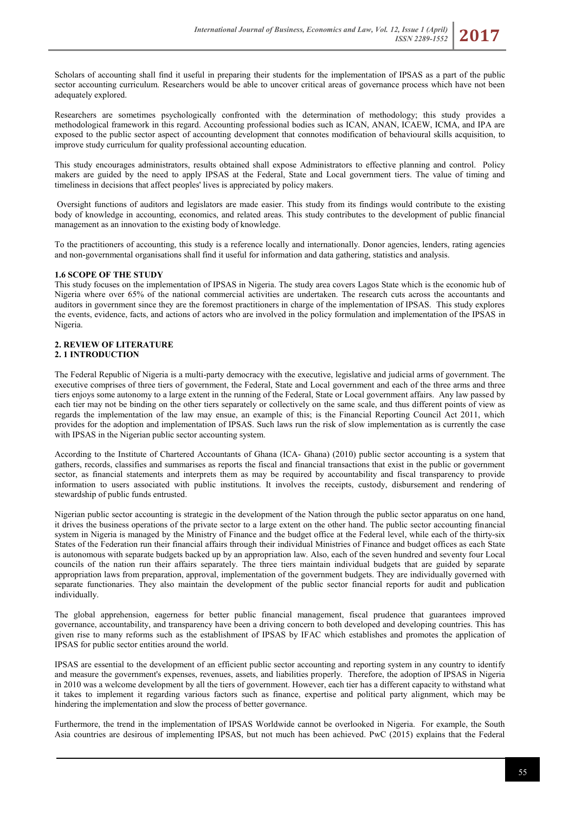Scholars of accounting shall find it useful in preparing their students for the implementation of IPSAS as a part of the public sector accounting curriculum. Researchers would be able to uncover critical areas of governance process which have not been adequately explored.

Researchers are sometimes psychologically confronted with the determination of methodology; this study provides a methodological framework in this regard. Accounting professional bodies such as ICAN, ANAN, ICAEW, ICMA, and IPA are exposed to the public sector aspect of accounting development that connotes modification of behavioural skills acquisition, to improve study curriculum for quality professional accounting education.

This study encourages administrators, results obtained shall expose Administrators to effective planning and control. Policy makers are guided by the need to apply IPSAS at the Federal, State and Local government tiers. The value of timing and timeliness in decisions that affect peoples' lives is appreciated by policy makers.

Oversight functions of auditors and legislators are made easier. This study from its findings would contribute to the existing body of knowledge in accounting, economics, and related areas. This study contributes to the development of public financial management as an innovation to the existing body of knowledge.

To the practitioners of accounting, this study is a reference locally and internationally. Donor agencies, lenders, rating agencies and non-governmental organisations shall find it useful for information and data gathering, statistics and analysis.

### **1.6 SCOPE OF THE STUDY**

This study focuses on the implementation of IPSAS in Nigeria. The study area covers Lagos State which is the economic hub of Nigeria where over 65% of the national commercial activities are undertaken. The research cuts across the accountants and auditors in government since they are the foremost practitioners in charge of the implementation of IPSAS. This study explores the events, evidence, facts, and actions of actors who are involved in the policy formulation and implementation of the IPSAS in Nigeria.

### **2. REVIEW OF LITERATURE 2. 1 INTRODUCTION**

The Federal Republic of Nigeria is a multi-party democracy with the executive, legislative and judicial arms of government. The executive comprises of three tiers of government, the Federal, State and Local government and each of the three arms and three tiers enjoys some autonomy to a large extent in the running of the Federal, State or Local government affairs. Any law passed by each tier may not be binding on the other tiers separately or collectively on the same scale, and thus different points of view as regards the implementation of the law may ensue, an example of this; is the Financial Reporting Council Act 2011, which provides for the adoption and implementation of IPSAS. Such laws run the risk of slow implementation as is currently the case with IPSAS in the Nigerian public sector accounting system.

According to the Institute of Chartered Accountants of Ghana (ICA- Ghana) (2010) public sector accounting is a system that gathers, records, classifies and summarises as reports the fiscal and financial transactions that exist in the public or government sector, as financial statements and interprets them as may be required by accountability and fiscal transparency to provide information to users associated with public institutions. It involves the receipts, custody, disbursement and rendering of stewardship of public funds entrusted.

Nigerian public sector accounting is strategic in the development of the Nation through the public sector apparatus on one hand, it drives the business operations of the private sector to a large extent on the other hand. The public sector accounting financial system in Nigeria is managed by the Ministry of Finance and the budget office at the Federal level, while each of the thirty-six States of the Federation run their financial affairs through their individual Ministries of Finance and budget offices as each State is autonomous with separate budgets backed up by an appropriation law. Also, each of the seven hundred and seventy four Local councils of the nation run their affairs separately. The three tiers maintain individual budgets that are guided by separate appropriation laws from preparation, approval, implementation of the government budgets. They are individually governed with separate functionaries. They also maintain the development of the public sector financial reports for audit and publication individually.

The global apprehension, eagerness for better public financial management, fiscal prudence that guarantees improved governance, accountability, and transparency have been a driving concern to both developed and developing countries. This has given rise to many reforms such as the establishment of IPSAS by IFAC which establishes and promotes the application of IPSAS for public sector entities around the world.

IPSAS are essential to the development of an efficient public sector accounting and reporting system in any country to identify and measure the government's expenses, revenues, assets, and liabilities properly. Therefore, the adoption of IPSAS in Nigeria in 2010 was a welcome development by all the tiers of government. However, each tier has a different capacity to withstand what it takes to implement it regarding various factors such as finance, expertise and political party alignment, which may be hindering the implementation and slow the process of better governance.

Furthermore, the trend in the implementation of IPSAS Worldwide cannot be overlooked in Nigeria. For example, the South Asia countries are desirous of implementing IPSAS, but not much has been achieved. PwC (2015) explains that the Federal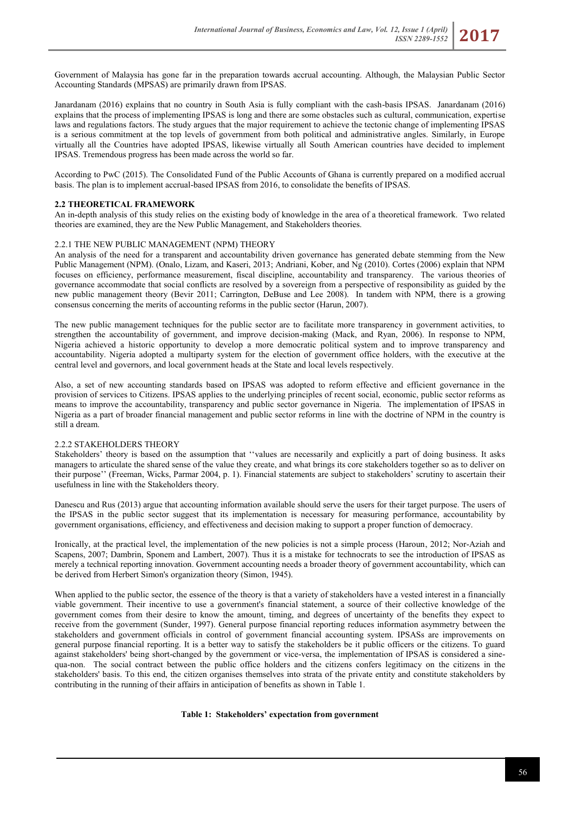Government of Malaysia has gone far in the preparation towards accrual accounting. Although, the Malaysian Public Sector Accounting Standards (MPSAS) are primarily drawn from IPSAS.

Janardanam (2016) explains that no country in South Asia is fully compliant with the cash-basis IPSAS. Janardanam (2016) explains that the process of implementing IPSAS is long and there are some obstacles such as cultural, communication, expertise laws and regulations factors. The study argues that the major requirement to achieve the tectonic change of implementing IPSAS is a serious commitment at the top levels of government from both political and administrative angles. Similarly, in Europe virtually all the Countries have adopted IPSAS, likewise virtually all South American countries have decided to implement IPSAS. Tremendous progress has been made across the world so far.

According to PwC (2015). The Consolidated Fund of the Public Accounts of Ghana is currently prepared on a modified accrual basis. The plan is to implement accrual-based IPSAS from 2016, to consolidate the benefits of IPSAS.

### **2.2 THEORETICAL FRAMEWORK**

An in-depth analysis of this study relies on the existing body of knowledge in the area of a theoretical framework. Two related theories are examined, they are the New Public Management, and Stakeholders theories.

## 2.2.1 THE NEW PUBLIC MANAGEMENT (NPM) THEORY

An analysis of the need for a transparent and accountability driven governance has generated debate stemming from the New Public Management (NPM). (Onalo, Lizam, and Kaseri, 2013; Andriani, Kober, and Ng (2010). Cortes (2006) explain that NPM focuses on efficiency, performance measurement, fiscal discipline, accountability and transparency. The various theories of governance accommodate that social conflicts are resolved by a sovereign from a perspective of responsibility as guided by the new public management theory (Bevir 2011; Carrington, DeBuse and Lee 2008). In tandem with NPM, there is a growing consensus concerning the merits of accounting reforms in the public sector (Harun, 2007).

The new public management techniques for the public sector are to facilitate more transparency in government activities, to strengthen the accountability of government, and improve decision-making (Mack, and Ryan, 2006). In response to NPM, Nigeria achieved a historic opportunity to develop a more democratic political system and to improve transparency and accountability. Nigeria adopted a multiparty system for the election of government office holders, with the executive at the central level and governors, and local government heads at the State and local levels respectively.

Also, a set of new accounting standards based on IPSAS was adopted to reform effective and efficient governance in the provision of services to Citizens. IPSAS applies to the underlying principles of recent social, economic, public sector reforms as means to improve the accountability, transparency and public sector governance in Nigeria. The implementation of IPSAS in Nigeria as a part of broader financial management and public sector reforms in line with the doctrine of NPM in the country is still a dream.

### 2.2.2 STAKEHOLDERS THEORY

Stakeholders' theory is based on the assumption that ''values are necessarily and explicitly a part of doing business. It asks managers to articulate the shared sense of the value they create, and what brings its core stakeholders together so as to deliver on their purpose'' (Freeman, Wicks, Parmar 2004, p. 1). Financial statements are subject to stakeholders' scrutiny to ascertain their usefulness in line with the Stakeholders theory.

Danescu and Rus (2013) argue that accounting information available should serve the users for their target purpose. The users of the IPSAS in the public sector suggest that its implementation is necessary for measuring performance, accountability by government organisations, efficiency, and effectiveness and decision making to support a proper function of democracy.

Ironically, at the practical level, the implementation of the new policies is not a simple process (Haroun, 2012; Nor-Aziah and Scapens, 2007; Dambrin, Sponem and Lambert, 2007). Thus it is a mistake for technocrats to see the introduction of IPSAS as merely a technical reporting innovation. Government accounting needs a broader theory of government accountability, which can be derived from Herbert Simon's organization theory (Simon, 1945).

When applied to the public sector, the essence of the theory is that a variety of stakeholders have a vested interest in a financially viable government. Their incentive to use a government's financial statement, a source of their collective knowledge of the government comes from their desire to know the amount, timing, and degrees of uncertainty of the benefits they expect to receive from the government (Sunder, 1997). General purpose financial reporting reduces information asymmetry between the stakeholders and government officials in control of government financial accounting system. IPSASs are improvements on general purpose financial reporting. It is a better way to satisfy the stakeholders be it public officers or the citizens. To guard against stakeholders' being short-changed by the government or vice-versa, the implementation of IPSAS is considered a sinequa-non. The social contract between the public office holders and the citizens confers legitimacy on the citizens in the stakeholders' basis. To this end, the citizen organises themselves into strata of the private entity and constitute stakeholders by contributing in the running of their affairs in anticipation of benefits as shown in Table 1.

### **Table 1: Stakeholders' expectation from government**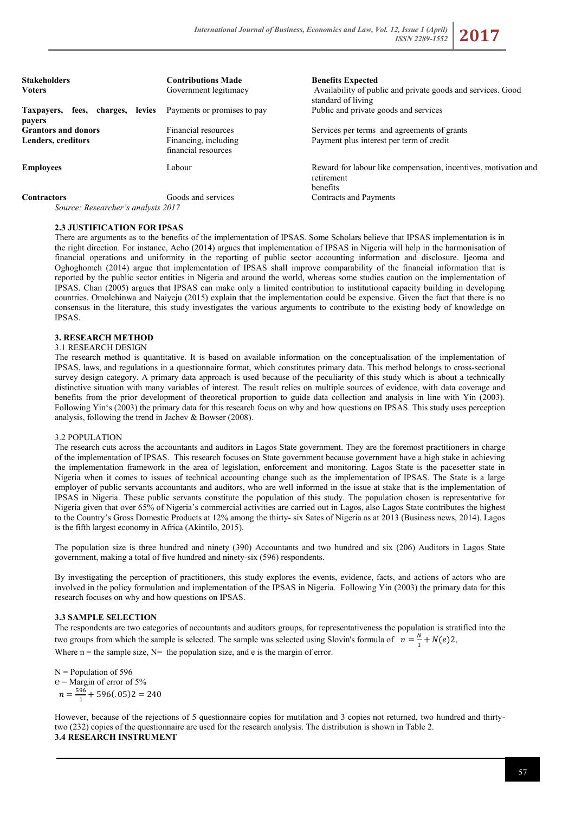| <b>Contributions Made</b><br>Government legitimacy | <b>Benefits Expected</b><br>Availability of public and private goods and services. Good<br>standard of living                                                                                                                                                                                                                                                                        |
|----------------------------------------------------|--------------------------------------------------------------------------------------------------------------------------------------------------------------------------------------------------------------------------------------------------------------------------------------------------------------------------------------------------------------------------------------|
| Payments or promises to pay                        | Public and private goods and services                                                                                                                                                                                                                                                                                                                                                |
| Financial resources                                | Services per terms and agreements of grants                                                                                                                                                                                                                                                                                                                                          |
| Financing, including<br>financial resources        | Payment plus interest per term of credit                                                                                                                                                                                                                                                                                                                                             |
| Labour                                             | Reward for labour like compensation, incentives, motivation and<br>retirement<br>benefits                                                                                                                                                                                                                                                                                            |
| Goods and services                                 | Contracts and Payments                                                                                                                                                                                                                                                                                                                                                               |
|                                                    | $\overline{D}$ $\overline{I}$ $\overline{I}$ $\overline{I}$ $\overline{I}$ $\overline{I}$ $\overline{I}$ $\overline{I}$ $\overline{I}$ $\overline{I}$ $\overline{I}$ $\overline{I}$ $\overline{I}$ $\overline{I}$ $\overline{I}$ $\overline{I}$ $\overline{I}$ $\overline{I}$ $\overline{I}$ $\overline{I}$ $\overline{I}$ $\overline{I}$ $\overline{I}$ $\overline{I}$ $\overline{$ |

*Source: Researcher's analysis 2017*

## **2.3 JUSTIFICATION FOR IPSAS**

There are arguments as to the benefits of the implementation of IPSAS. Some Scholars believe that IPSAS implementation is in the right direction. For instance, Acho (2014) argues that implementation of IPSAS in Nigeria will help in the harmonisation of financial operations and uniformity in the reporting of public sector accounting information and disclosure. Ijeoma and Oghoghomeh (2014) argue that implementation of IPSAS shall improve comparability of the financial information that is reported by the public sector entities in Nigeria and around the world, whereas some studies caution on the implementation of IPSAS. Chan (2005) argues that IPSAS can make only a limited contribution to institutional capacity building in developing countries. Omolehinwa and Naiyeju (2015) explain that the implementation could be expensive. Given the fact that there is no consensus in the literature, this study investigates the various arguments to contribute to the existing body of knowledge on IPSAS.

### **3. RESEARCH METHOD**

### 3.1 RESEARCH DESIGN

The research method is quantitative. It is based on available information on the conceptualisation of the implementation of IPSAS, laws, and regulations in a questionnaire format, which constitutes primary data. This method belongs to cross-sectional survey design category. A primary data approach is used because of the peculiarity of this study which is about a technically distinctive situation with many variables of interest. The result relies on multiple sources of evidence, with data coverage and benefits from the prior development of theoretical proportion to guide data collection and analysis in line with Yin (2003). Following Yin's (2003) the primary data for this research focus on why and how questions on IPSAS. This study uses perception analysis, following the trend in Jachev & Bowser (2008).

### 3.2 POPULATION

The research cuts across the accountants and auditors in Lagos State government. They are the foremost practitioners in charge of the implementation of IPSAS. This research focuses on State government because government have a high stake in achieving the implementation framework in the area of legislation, enforcement and monitoring. Lagos State is the pacesetter state in Nigeria when it comes to issues of technical accounting change such as the implementation of IPSAS. The State is a large employer of public servants accountants and auditors, who are well informed in the issue at stake that is the implementation of IPSAS in Nigeria. These public servants constitute the population of this study. The population chosen is representative for Nigeria given that over 65% of Nigeria's commercial activities are carried out in Lagos, also Lagos State contributes the highest to the Country's Gross Domestic Products at 12% among the thirty- six Sates of Nigeria as at 2013 (Business news, 2014). Lagos is the fifth largest economy in Africa (Akintilo, 2015).

The population size is three hundred and ninety (390) Accountants and two hundred and six (206) Auditors in Lagos State government, making a total of five hundred and ninety-six (596) respondents.

By investigating the perception of practitioners, this study explores the events, evidence, facts, and actions of actors who are involved in the policy formulation and implementation of the IPSAS in Nigeria. Following Yin (2003) the primary data for this research focuses on why and how questions on IPSAS.

### **3.3 SAMPLE SELECTION**

The respondents are two categories of accountants and auditors groups, for representativeness the population is stratified into the two groups from which the sample is selected. The sample was selected using Slovin's formula of  $n = \frac{N}{1} + N(e)2$ , Where  $n =$  the sample size,  $N=$  the population size, and e is the margin of error.

 $N =$  Population of 596  $e =$ Margin of error of 5%  $n = \frac{596}{1} + 596(.05)2 = 240$ 

However, because of the rejections of 5 questionnaire copies for mutilation and 3 copies not returned, two hundred and thirtytwo (232) copies of the questionnaire are used for the research analysis. The distribution is shown in Table 2. **3.4 RESEARCH INSTRUMENT**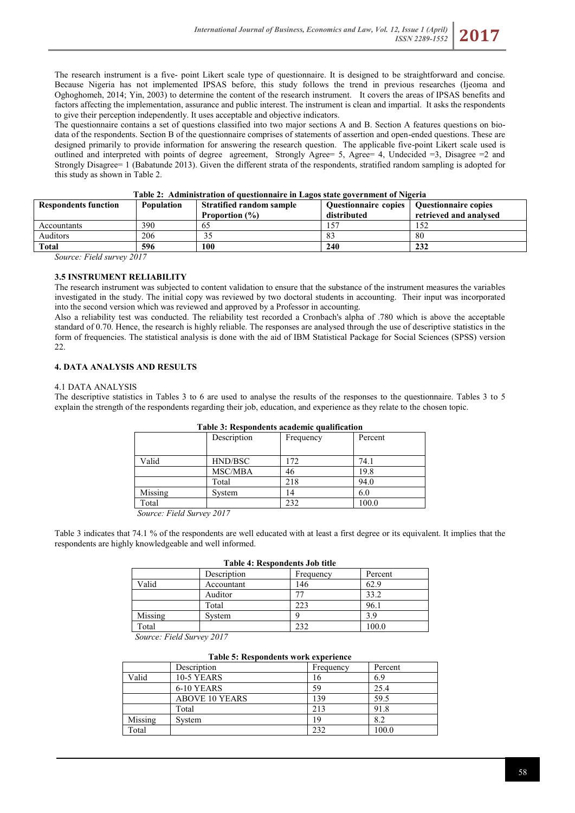The research instrument is a five- point Likert scale type of questionnaire. It is designed to be straightforward and concise. Because Nigeria has not implemented IPSAS before, this study follows the trend in previous researches (Ijeoma and Oghoghomeh, 2014; Yin, 2003) to determine the content of the research instrument. It covers the areas of IPSAS benefits and factors affecting the implementation, assurance and public interest. The instrument is clean and impartial. It asks the respondents to give their perception independently. It uses acceptable and objective indicators.

The questionnaire contains a set of questions classified into two major sections A and B. Section A features questions on biodata of the respondents. Section B of the questionnaire comprises of statements of assertion and open-ended questions. These are designed primarily to provide information for answering the research question. The applicable five-point Likert scale used is outlined and interpreted with points of degree agreement, Strongly Agree= 5, Agree= 4, Undecided =3, Disagree =2 and Strongly Disagree= 1 (Babatunde 2013). Given the different strata of the respondents, stratified random sampling is adopted for this study as shown in Table 2.

| <b>Respondents function</b> | <b>Population</b> | <b>Stratified random sample</b><br><b>Proportion</b> (%) | Questionnaire copies<br>distributed | <b>Ouestionnaire copies</b><br>retrieved and analysed |  |
|-----------------------------|-------------------|----------------------------------------------------------|-------------------------------------|-------------------------------------------------------|--|
| Accountants                 | 390               | 65                                                       |                                     |                                                       |  |
| Auditors                    | 206               | 35                                                       |                                     | -80                                                   |  |
| <b>Total</b>                | 596               | 100                                                      | 240                                 | 232                                                   |  |

**Table 2: Administration of questionnaire in Lagos state government of Nigeria**

*Source: Field survey 2017*

## **3.5 INSTRUMENT RELIABILITY**

The research instrument was subjected to content validation to ensure that the substance of the instrument measures the variables investigated in the study. The initial copy was reviewed by two doctoral students in accounting. Their input was incorporated into the second version which was reviewed and approved by a Professor in accounting.

Also a reliability test was conducted. The reliability test recorded a Cronbach's alpha of .780 which is above the acceptable standard of 0.70. Hence, the research is highly reliable. The responses are analysed through the use of descriptive statistics in the form of frequencies. The statistical analysis is done with the aid of IBM Statistical Package for Social Sciences (SPSS) version  $22.2$ 

## **4. DATA ANALYSIS AND RESULTS**

#### 4.1 DATA ANALYSIS

The descriptive statistics in Tables 3 to 6 are used to analyse the results of the responses to the questionnaire. Tables 3 to 5 explain the strength of the respondents regarding their job, education, and experience as they relate to the chosen topic.

| Table 5: Respondents academic quantication |                |           |         |  |
|--------------------------------------------|----------------|-----------|---------|--|
|                                            | Description    | Frequency | Percent |  |
| Valid                                      | HND/BSC        | 172       | 74.1    |  |
|                                            | <b>MSC/MBA</b> | 46        | 19.8    |  |
|                                            | Total          | 218       | 94.0    |  |
| Missing                                    | System         | 14        | 6.0     |  |
| Total                                      |                | 232       | 100.0   |  |

### **Table 3: Respondents academic qualification**

 *Source: Field Survey 2017*

Table 3 indicates that 74.1 % of the respondents are well educated with at least a first degree or its equivalent. It implies that the respondents are highly knowledgeable and well informed.

| <b>Table 4: Respondents Job title</b> |             |           |         |  |
|---------------------------------------|-------------|-----------|---------|--|
|                                       | Description | Frequency | Percent |  |
| Valid                                 | Accountant  | 146       | 62.9    |  |
|                                       | Auditor     |           | 33.2    |  |
|                                       | Total       | 223       | 96.1    |  |
| Missing                               | System      |           | 39      |  |
| Total                                 |             | 232       | 100.0   |  |

 *Source: Field Survey 2017*

### **Table 5: Respondents work experience**

|         | Description           | Frequency | Percent |
|---------|-----------------------|-----------|---------|
| Valid   | <b>10-5 YEARS</b>     | 16        | 6.9     |
|         | 6-10 YEARS            | 59        | 25.4    |
|         | <b>ABOVE 10 YEARS</b> | 139       | 59.5    |
|         | Total                 | 213       | 91.8    |
| Missing | System                | 19        | 8.2     |
| Total   |                       | 232       | 100.0   |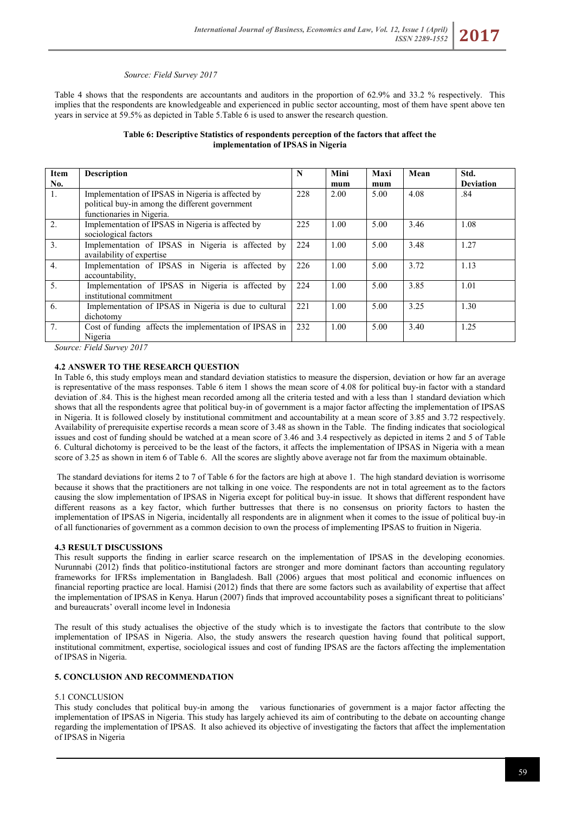#### *Source: Field Survey 2017*

Table 4 shows that the respondents are accountants and auditors in the proportion of 62.9% and 33.2 % respectively. This implies that the respondents are knowledgeable and experienced in public sector accounting, most of them have spent above ten years in service at 59.5% as depicted in Table 5.Table 6 is used to answer the research question.

#### **Table 6: Descriptive Statistics of respondents perception of the factors that affect the implementation of IPSAS in Nigeria**

| Item             | <b>Description</b>                                                                                                                | N   | Mini | Maxi | Mean | Std.             |
|------------------|-----------------------------------------------------------------------------------------------------------------------------------|-----|------|------|------|------------------|
| No.              |                                                                                                                                   |     | mum  | mum  |      | <b>Deviation</b> |
| 1.               | Implementation of IPSAS in Nigeria is affected by<br>political buy-in among the different government<br>functionaries in Nigeria. | 228 | 2.00 | 5.00 | 4.08 | .84              |
| $2$ .            | Implementation of IPSAS in Nigeria is affected by<br>sociological factors                                                         | 225 | 1.00 | 5.00 | 3.46 | 1.08             |
| 3 <sub>1</sub>   | Implementation of IPSAS in Nigeria is affected by<br>availability of expertise                                                    | 224 | 1.00 | 5.00 | 3.48 | 1.27             |
| $\overline{4}$ . | Implementation of IPSAS in Nigeria is affected by<br>accountability.                                                              | 226 | 1.00 | 5.00 | 3.72 | 1.13             |
| 5.               | Implementation of IPSAS in Nigeria is affected by<br>institutional commitment                                                     | 224 | 1.00 | 5.00 | 3.85 | 1.01             |
| 6.               | Implementation of IPSAS in Nigeria is due to cultural<br>dichotomy                                                                | 221 | 1.00 | 5.00 | 3.25 | 1.30             |
| 7 <sub>1</sub>   | Cost of funding affects the implementation of IPSAS in<br>Nigeria                                                                 | 232 | 1.00 | 5.00 | 3.40 | 1.25             |

*Source: Field Survey 2017*

### **4.2 ANSWER TO THE RESEARCH QUESTION**

In Table 6, this study employs mean and standard deviation statistics to measure the dispersion, deviation or how far an average is representative of the mass responses. Table 6 item 1 shows the mean score of 4.08 for political buy-in factor with a standard deviation of .84. This is the highest mean recorded among all the criteria tested and with a less than 1 standard deviation which shows that all the respondents agree that political buy-in of government is a major factor affecting the implementation of IPSAS in Nigeria. It is followed closely by institutional commitment and accountability at a mean score of 3.85 and 3.72 respectively. Availability of prerequisite expertise records a mean score of 3.48 as shown in the Table. The finding indicates that sociological issues and cost of funding should be watched at a mean score of 3.46 and 3.4 respectively as depicted in items 2 and 5 of Table 6. Cultural dichotomy is perceived to be the least of the factors, it affects the implementation of IPSAS in Nigeria with a mean score of 3.25 as shown in item 6 of Table 6. All the scores are slightly above average not far from the maximum obtainable.

The standard deviations for items 2 to 7 of Table 6 for the factors are high at above 1. The high standard deviation is worrisome because it shows that the practitioners are not talking in one voice. The respondents are not in total agreement as to the factors causing the slow implementation of IPSAS in Nigeria except for political buy-in issue. It shows that different respondent have different reasons as a key factor, which further buttresses that there is no consensus on priority factors to hasten the implementation of IPSAS in Nigeria, incidentally all respondents are in alignment when it comes to the issue of political buy-in of all functionaries of government as a common decision to own the process of implementing IPSAS to fruition in Nigeria.

#### **4.3 RESULT DISCUSSIONS**

This result supports the finding in earlier scarce research on the implementation of IPSAS in the developing economies. Nurunnabi (2012) finds that politico-institutional factors are stronger and more dominant factors than accounting regulatory frameworks for IFRSs implementation in Bangladesh. Ball (2006) argues that most political and economic influences on financial reporting practice are local. Hamisi (2012) finds that there are some factors such as availability of expertise that affect the implementation of IPSAS in Kenya. Harun (2007) finds that improved accountability poses a significant threat to politicians' and bureaucrats' overall income level in Indonesia

The result of this study actualises the objective of the study which is to investigate the factors that contribute to the slow implementation of IPSAS in Nigeria. Also, the study answers the research question having found that political support, institutional commitment, expertise, sociological issues and cost of funding IPSAS are the factors affecting the implementation of IPSAS in Nigeria.

#### **5. CONCLUSION AND RECOMMENDATION**

### 5.1 CONCLUSION

This study concludes that political buy-in among the various functionaries of government is a major factor affecting the implementation of IPSAS in Nigeria. This study has largely achieved its aim of contributing to the debate on accounting change regarding the implementation of IPSAS. It also achieved its objective of investigating the factors that affect the implementation of IPSAS in Nigeria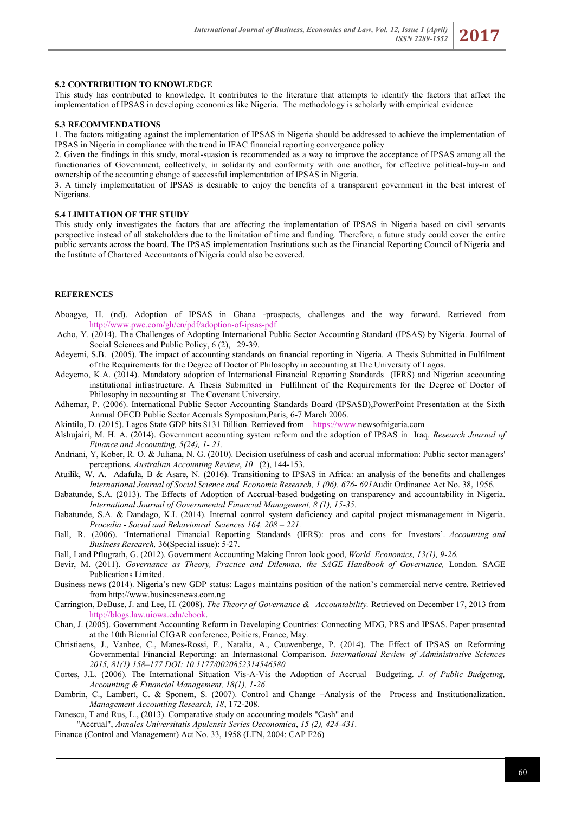#### **5.2 CONTRIBUTION TO KNOWLEDGE**

This study has contributed to knowledge. It contributes to the literature that attempts to identify the factors that affect the implementation of IPSAS in developing economies like Nigeria. The methodology is scholarly with empirical evidence

#### **5.3 RECOMMENDATIONS**

1. The factors mitigating against the implementation of IPSAS in Nigeria should be addressed to achieve the implementation of IPSAS in Nigeria in compliance with the trend in IFAC financial reporting convergence policy

2. Given the findings in this study, moral-suasion is recommended as a way to improve the acceptance of IPSAS among all the functionaries of Government, collectively, in solidarity and conformity with one another, for effective political-buy-in and ownership of the accounting change of successful implementation of IPSAS in Nigeria.

3. A timely implementation of IPSAS is desirable to enjoy the benefits of a transparent government in the best interest of Nigerians.

#### **5.4 LIMITATION OF THE STUDY**

This study only investigates the factors that are affecting the implementation of IPSAS in Nigeria based on civil servants perspective instead of all stakeholders due to the limitation of time and funding. Therefore, a future study could cover the entire public servants across the board. The IPSAS implementation Institutions such as the Financial Reporting Council of Nigeria and the Institute of Chartered Accountants of Nigeria could also be covered.

### **REFERENCES**

- Aboagye, H. (nd). Adoption of IPSAS in Ghana -prospects, challenges and the way forward. Retrieved from <http://www.pwc.com/gh/en/pdf/adoption-of-ipsas-pdf>
- Acho, Y. (2014). The Challenges of Adopting International Public Sector Accounting Standard (IPSAS) by Nigeria. Journal of Social Sciences and Public Policy, 6 (2), 29-39.
- Adeyemi, S.B. (2005). The impact of accounting standards on financial reporting in Nigeria. A Thesis Submitted in Fulfilment of the Requirements for the Degree of Doctor of Philosophy in accounting at The University of Lagos.
- Adeyemo, K.A. (2014). Mandatory adoption of International Financial Reporting Standards (IFRS) and Nigerian accounting institutional infrastructure. A Thesis Submitted in Fulfilment of the Requirements for the Degree of Doctor of Philosophy in accounting at The Covenant University.
- Adhemar, P. (2006). International Public Sector Accounting Standards Board (IPSASB),PowerPoint Presentation at the Sixth Annual OECD Public Sector Accruals Symposium,Paris, 6-7 March 2006.
- Akintilo, D. (2015). Lagos State GDP hits \$131 Billion. Retrieved from [https://www.n](https://www/)ewsofnigeria.com
- Alshujairi, M. H. A. (2014). Government accounting system reform and the adoption of IPSAS in Iraq. *Research Journal of Finance and Accounting, 5(24), 1- 21.*
- Andriani, Y, Kober, R. O. & Juliana, N. G. (2010). Decision usefulness of cash and accrual information: Public sector managers' perceptions. *Australian Accounting Review*, *10* (2), 144-153.
- Atuilik, W. A. Adafula, B & Asare, N. (2016). Transitioning to IPSAS in Africa: an analysis of the benefits and challenges *International Journal of Social Science and Economic Research, 1 (06). 676- 691*Audit Ordinance Act No. 38, 1956.
- Babatunde, S.A. (2013). The Effects of Adoption of Accrual-based budgeting on transparency and accountability in Nigeria. *International Journal of Governmental Financial Management, 8 (1), 15-35.*
- Babatunde, S.A. & Dandago, K.I. (2014). Internal control system deficiency and capital project mismanagement in Nigeria. *Procedia - Social and Behavioural Sciences 164, 208 – 221.*
- Ball, R. (2006). 'International Financial Reporting Standards (IFRS): pros and cons for Investors'. *Accounting and Business Research,* 36(Special issue): 5-27.
- Ball, I and Pflugrath, G. (2012). Government Accounting Making Enron look good, *World Economics, 13(1), 9-26.*
- Bevir, M. (2011). *Governance as Theory, Practice and Dilemma, the SAGE Handbook of Governance,* London. SAGE Publications Limited.
- Business news (2014). Nigeria's new GDP status: Lagos maintains position of the nation's commercial nerve centre. Retrieved from http://www.businessnews.com.ng
- Carrington, DeBuse, J. and Lee, H. (2008). *The Theory of Governance & Accountability.* Retrieved on December 17, 2013 from [http://blogs.law.uiowa.edu/ebook.](http://blogs.law.uiowa.edu/ebook)
- Chan, J. (2005). Government Accounting Reform in Developing Countries: Connecting MDG, PRS and IPSAS. Paper presented at the 10th Biennial CIGAR conference, Poitiers, France, May.
- Christiaens, J., Vanhee, C., Manes-Rossi, F., Natalia, A., Cauwenberge, P. (2014). The Effect of IPSAS on Reforming Governmental Financial Reporting: an Internasional Comparison. *International Review of Administrative Sciences 2015, 81(1) 158–177 DOI: 10.1177/0020852314546580*
- Cortes, J.L. (2006). The International Situation Vis-A-Vis the Adoption of Accrual Budgeting. *J. of Public Budgeting, Accounting & Financial Management, 18(1), 1-26.*
- Dambrin, C., Lambert, C. & Sponem, S. (2007). Control and Change –Analysis of the Process and Institutionalization. *Management Accounting Research, 18*, 172-208.
- Danescu, T and Rus, L., (2013). Comparative study on accounting models "Cash" and

"Accrual", *Annales Universitatis Apulensis Series Oeconomica*, *15 (2), 424-431*.

Finance (Control and Management) Act No. 33, 1958 (LFN, 2004: CAP F26)